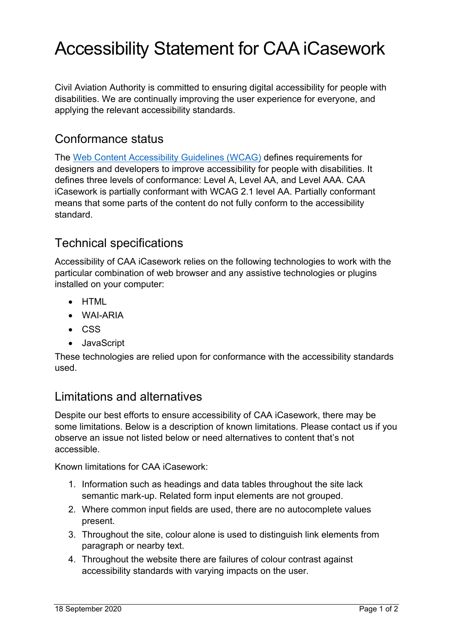# Accessibility Statement for CAA iCasework

Civil Aviation Authority is committed to ensuring digital accessibility for people with disabilities. We are continually improving the user experience for everyone, and applying the relevant accessibility standards.

#### Conformance status

The [Web Content Accessibility Guidelines \(WCAG\)](https://www.w3.org/WAI/standards-guidelines/wcag/) defines requirements for designers and developers to improve accessibility for people with disabilities. It defines three levels of conformance: Level A, Level AA, and Level AAA. CAA iCasework is partially conformant with WCAG 2.1 level AA. Partially conformant means that some parts of the content do not fully conform to the accessibility standard.

## Technical specifications

Accessibility of CAA iCasework relies on the following technologies to work with the particular combination of web browser and any assistive technologies or plugins installed on your computer:

- HTML
- WAI-ARIA
- CSS
- JavaScript

These technologies are relied upon for conformance with the accessibility standards used.

### Limitations and alternatives

Despite our best efforts to ensure accessibility of CAA iCasework, there may be some limitations. Below is a description of known limitations. Please contact us if you observe an issue not listed below or need alternatives to content that's not accessible.

Known limitations for CAA iCasework:

- 1. Information such as headings and data tables throughout the site lack semantic mark-up. Related form input elements are not grouped.
- 2. Where common input fields are used, there are no autocomplete values present.
- 3. Throughout the site, colour alone is used to distinguish link elements from paragraph or nearby text.
- 4. Throughout the website there are failures of colour contrast against accessibility standards with varying impacts on the user.